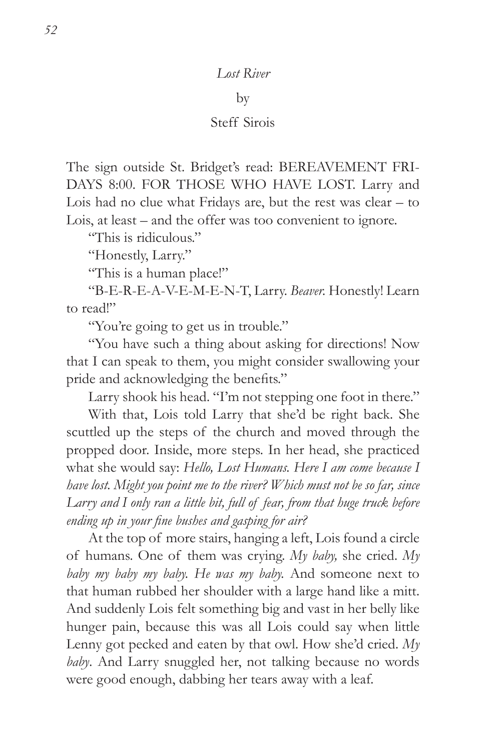## by

## Steff Sirois

The sign outside St. Bridget's read: BEREAVEMENT FRI-DAYS 8:00. FOR THOSE WHO HAVE LOST. Larry and Lois had no clue what Fridays are, but the rest was clear – to Lois, at least – and the offer was too convenient to ignore.

"This is ridiculous."

"Honestly, Larry."

"This is a human place!"

"B-E-R-E-A-V-E-M-E-N-T, Larry. *Beaver.* Honestly! Learn to read!"

"You're going to get us in trouble."

"You have such a thing about asking for directions! Now that I can speak to them, you might consider swallowing your pride and acknowledging the benefits."

Larry shook his head. "I'm not stepping one foot in there."

With that, Lois told Larry that she'd be right back. She scuttled up the steps of the church and moved through the propped door. Inside, more steps. In her head, she practiced what she would say: *Hello, Lost Humans. Here I am come because I have lost. Might you point me to the river? Which must not be so far, since Larry and I only ran a little bit, full of fear, from that huge truck before ending up in your fine bushes and gasping for air?*

At the top of more stairs, hanging a left, Lois found a circle of humans. One of them was crying. *My baby,* she cried. *My baby my baby my baby. He was my baby.* And someone next to that human rubbed her shoulder with a large hand like a mitt. And suddenly Lois felt something big and vast in her belly like hunger pain, because this was all Lois could say when little Lenny got pecked and eaten by that owl. How she'd cried. *My baby*. And Larry snuggled her, not talking because no words were good enough, dabbing her tears away with a leaf.